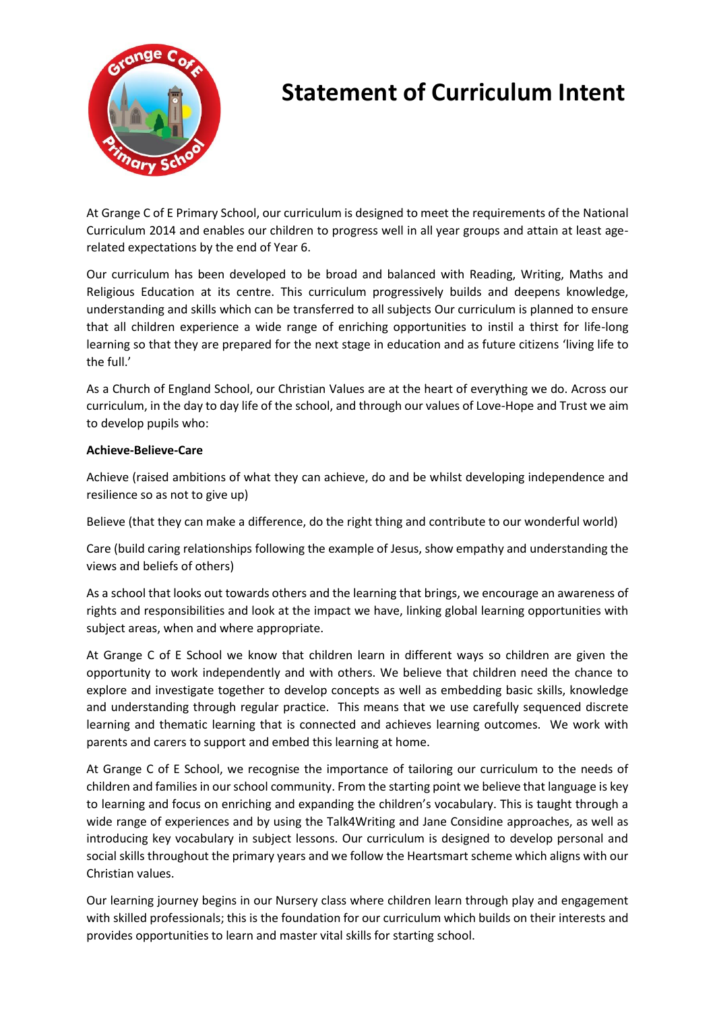

# **Statement of Curriculum Intent**

At Grange C of E Primary School, our curriculum is designed to meet the requirements of the National Curriculum 2014 and enables our children to progress well in all year groups and attain at least agerelated expectations by the end of Year 6.

Our curriculum has been developed to be broad and balanced with Reading, Writing, Maths and Religious Education at its centre. This curriculum progressively builds and deepens knowledge, understanding and skills which can be transferred to all subjects Our curriculum is planned to ensure that all children experience a wide range of enriching opportunities to instil a thirst for life-long learning so that they are prepared for the next stage in education and as future citizens 'living life to the full.'

As a Church of England School, our Christian Values are at the heart of everything we do. Across our curriculum, in the day to day life of the school, and through our values of Love-Hope and Trust we aim to develop pupils who:

### **Achieve-Believe-Care**

Achieve (raised ambitions of what they can achieve, do and be whilst developing independence and resilience so as not to give up)

Believe (that they can make a difference, do the right thing and contribute to our wonderful world)

Care (build caring relationships following the example of Jesus, show empathy and understanding the views and beliefs of others)

As a school that looks out towards others and the learning that brings, we encourage an awareness of rights and responsibilities and look at the impact we have, linking global learning opportunities with subject areas, when and where appropriate.

At Grange C of E School we know that children learn in different ways so children are given the opportunity to work independently and with others. We believe that children need the chance to explore and investigate together to develop concepts as well as embedding basic skills, knowledge and understanding through regular practice. This means that we use carefully sequenced discrete learning and thematic learning that is connected and achieves learning outcomes. We work with parents and carers to support and embed this learning at home.

At Grange C of E School, we recognise the importance of tailoring our curriculum to the needs of children and families in our school community. From the starting point we believe that language is key to learning and focus on enriching and expanding the children's vocabulary. This is taught through a wide range of experiences and by using the Talk4Writing and Jane Considine approaches, as well as introducing key vocabulary in subject lessons. Our curriculum is designed to develop personal and social skills throughout the primary years and we follow the Heartsmart scheme which aligns with our Christian values.

Our learning journey begins in our Nursery class where children learn through play and engagement with skilled professionals; this is the foundation for our curriculum which builds on their interests and provides opportunities to learn and master vital skills for starting school.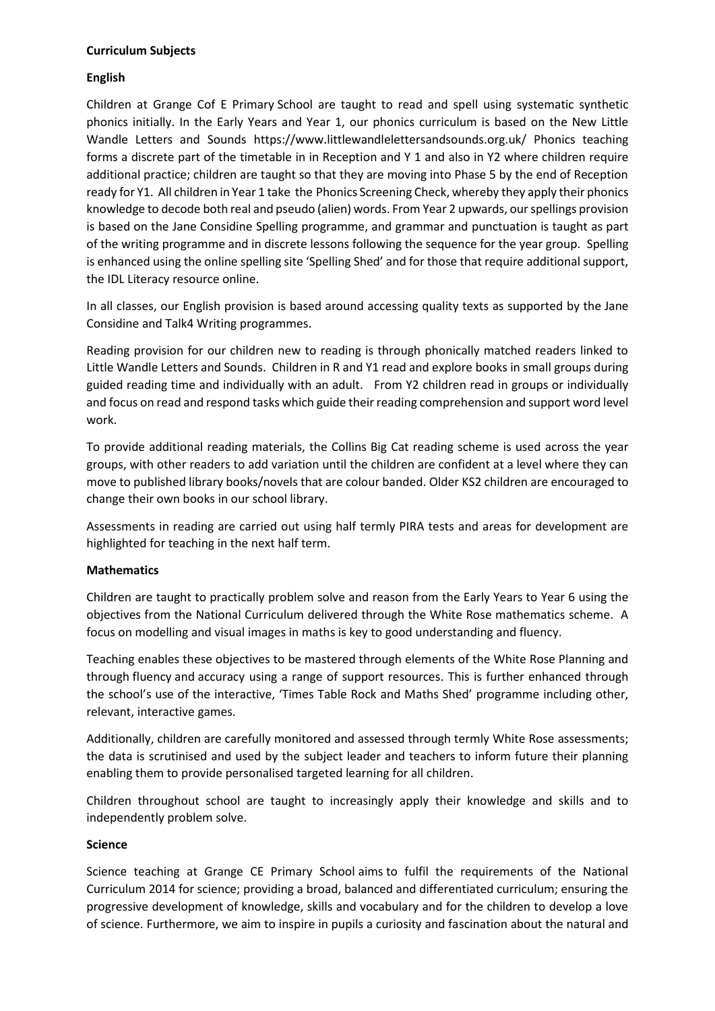#### **Curriculum Subjects**

### **English**

Children at Grange Cof E Primary School are taught to read and spell using systematic synthetic phonics initially. In the Early Years and Year 1, our phonics curriculum is based on the New Little Wandle Letters and Sounds <https://www.littlewandlelettersandsounds.org.uk/> Phonics teaching forms a discrete part of the timetable in in Reception and Y 1 and also in Y2 where children require additional practice; children are taught so that they are moving into Phase 5 by the end of Reception ready for Y1. All children in Year 1 take the [Phonics Screening Check,](https://www.gov.uk/government/publications/phonics-screening-check-sample-materials-and-training-video/phonics-screening-check-structure-and-content-of-the-check) whereby they apply their phonics knowledge to decode both real and pseudo (alien) words. From Year 2 upwards, our spellings provision is based on the Jane Considine Spelling programme, and grammar and punctuation is taught as part of the writing programme and in discrete lessons following the sequence for the year group. Spelling is enhanced using the online spelling site 'Spelling Shed' and for those that require additional support, the IDL Literacy resource online.

In all classes, our English provision is based around accessing quality texts as supported by the [Jane](https://clpe.org.uk/powerofreading) Considine and Talk4 Writing programmes.

Reading provision for our children new to reading is through phonically matched readers linked to Little Wandle Letters and Sounds. Children in R and Y1 read and explore books in small groups during guided reading time and individually with an adult. From Y2 children read in groups or individually and focus on read and respond tasks which guide their reading comprehension and support word level work.

To provide additional reading materials, the Collins Big Cat reading scheme is used across the year groups, with other readers to add variation until the children are confident at a level where they can move to published library books/novels that are colour banded. Older KS2 children are encouraged to change their own books in our school library.

Assessments in reading are carried out using half termly PIRA tests and areas for development are highlighted for teaching in the next half term.

#### **Mathematics**

Children are taught to practically problem solve and reason from the Early Years to Year 6 using the objectives from the National Curriculum delivered through the White Rose mathematics scheme. A focus on modelling and visual images in maths is key to good understanding and fluency.

Teaching enables these objectives to be mastered through elements of the White Rose Planning and through fluency and accuracy using a range of support resources. This is further enhanced through the school's use of the interactive, 'Times Table Rock and Maths Shed' programme including other, relevant, interactive games.

Additionally, children are carefully monitored and assessed through termly White Rose assessments; the data is scrutinised and used by the subject leader and teachers to inform future their planning enabling them to provide personalised targeted learning for all children.

Children throughout school are taught to increasingly apply their knowledge and skills and to independently problem solve.

## **Science**

Science teaching at Grange CE Primary School aims to fulfil the requirements of the National Curriculum 2014 for science; providing a broad, balanced and differentiated curriculum; ensuring the progressive development of knowledge, skills and vocabulary and for the children to develop a love of science. Furthermore, we aim to inspire in pupils a curiosity and fascination about the natural and